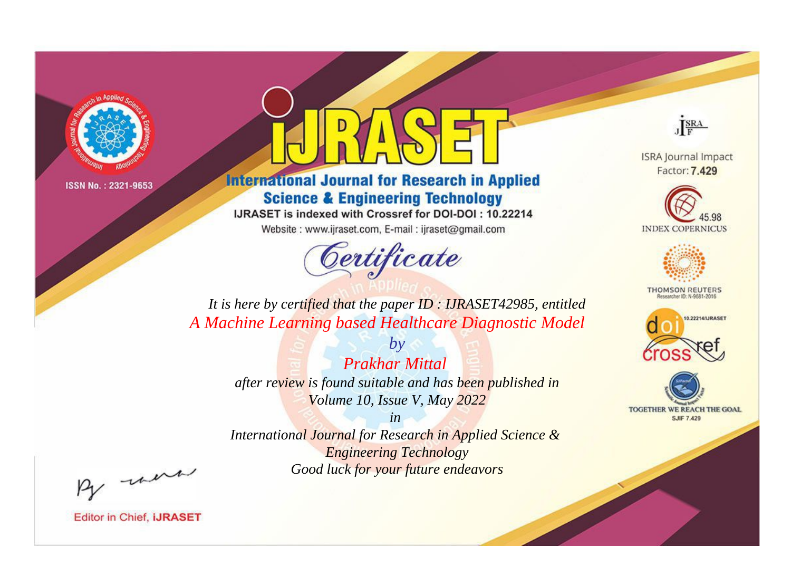

# **International Journal for Research in Applied Science & Engineering Technology**

IJRASET is indexed with Crossref for DOI-DOI: 10.22214

Website: www.ijraset.com, E-mail: ijraset@gmail.com



JERA

**ISRA Journal Impact** Factor: 7.429





**THOMSON REUTERS** 



TOGETHER WE REACH THE GOAL **SJIF 7.429** 

*It is here by certified that the paper ID : IJRASET42985, entitled A Machine Learning based Healthcare Diagnostic Model*

> *Prakhar Mittal after review is found suitable and has been published in Volume 10, Issue V, May 2022*

*by*

*in* 

*International Journal for Research in Applied Science & Engineering Technology Good luck for your future endeavors*

By morn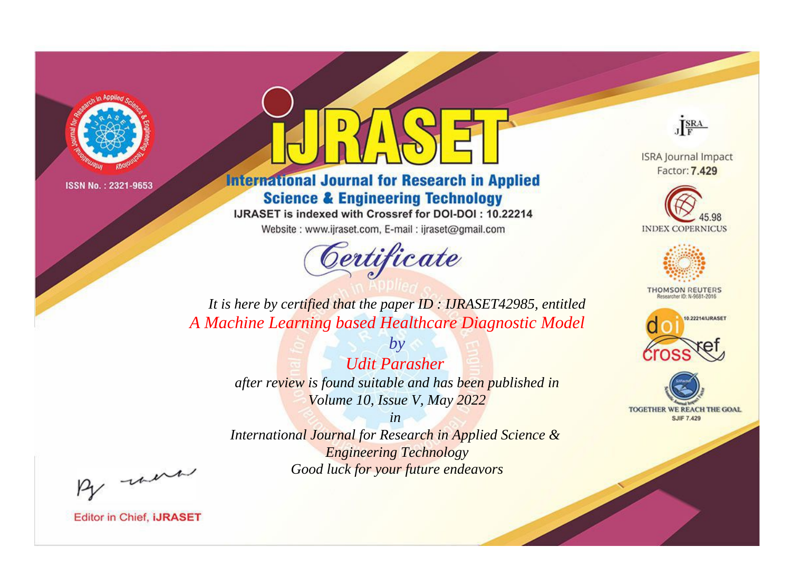

# **International Journal for Research in Applied Science & Engineering Technology**

IJRASET is indexed with Crossref for DOI-DOI: 10.22214

Website: www.ijraset.com, E-mail: ijraset@gmail.com



JERA

**ISRA Journal Impact** Factor: 7.429





**THOMSON REUTERS** 



TOGETHER WE REACH THE GOAL **SJIF 7.429** 

*It is here by certified that the paper ID : IJRASET42985, entitled A Machine Learning based Healthcare Diagnostic Model*

> *by Udit Parasher after review is found suitable and has been published in Volume 10, Issue V, May 2022*

> > *in*

*International Journal for Research in Applied Science & Engineering Technology Good luck for your future endeavors*

By morn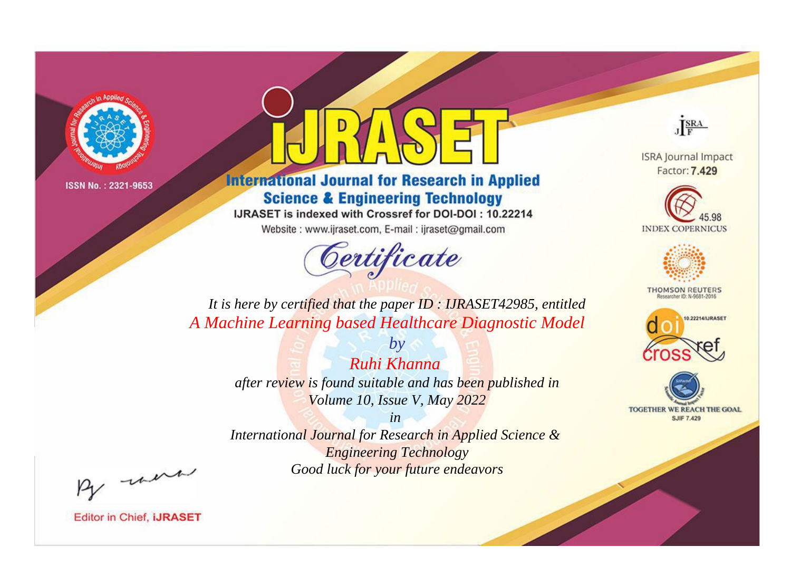

# **International Journal for Research in Applied Science & Engineering Technology**

IJRASET is indexed with Crossref for DOI-DOI: 10.22214

Website: www.ijraset.com, E-mail: ijraset@gmail.com



JERA

**ISRA Journal Impact** Factor: 7.429





**THOMSON REUTERS** 



TOGETHER WE REACH THE GOAL **SJIF 7.429** 

*It is here by certified that the paper ID : IJRASET42985, entitled A Machine Learning based Healthcare Diagnostic Model*

> *by Ruhi Khanna after review is found suitable and has been published in Volume 10, Issue V, May 2022*

> > *in*

*International Journal for Research in Applied Science & Engineering Technology Good luck for your future endeavors*

By morn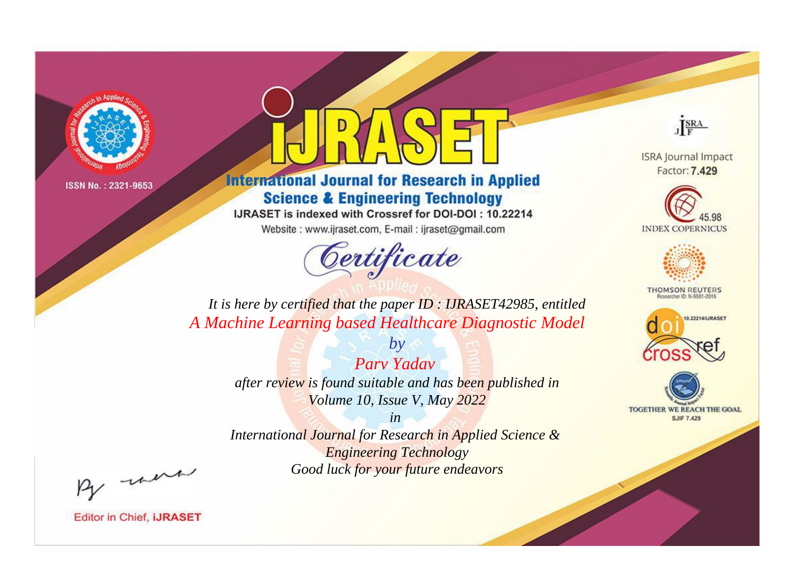

# **International Journal for Research in Applied Science & Engineering Technology**

IJRASET is indexed with Crossref for DOI-DOI: 10.22214

Website: www.ijraset.com, E-mail: ijraset@gmail.com



JERA

**ISRA Journal Impact** Factor: 7.429





**THOMSON REUTERS** 



TOGETHER WE REACH THE GOAL **SJIF 7.429** 

*It is here by certified that the paper ID : IJRASET42985, entitled A Machine Learning based Healthcare Diagnostic Model*

> *by Parv Yadav after review is found suitable and has been published in Volume 10, Issue V, May 2022*

> > *in*

*International Journal for Research in Applied Science & Engineering Technology Good luck for your future endeavors*

By morn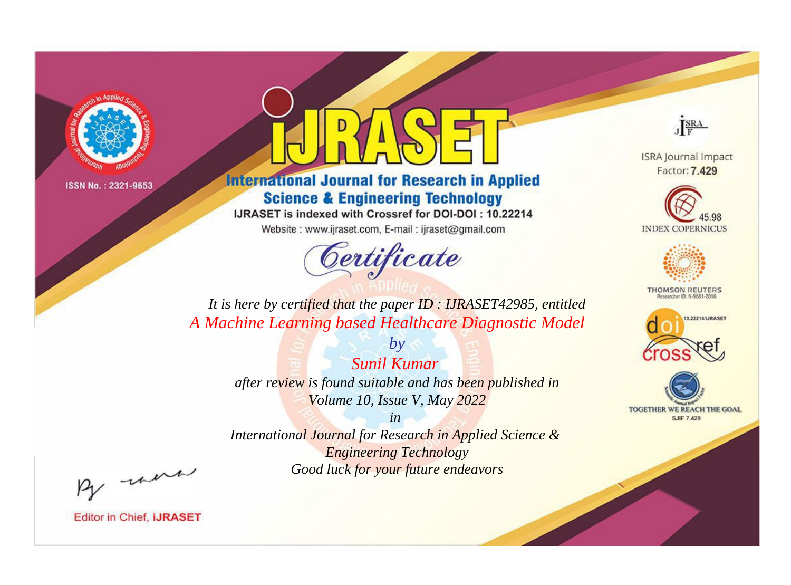

# **International Journal for Research in Applied Science & Engineering Technology**

IJRASET is indexed with Crossref for DOI-DOI: 10.22214

Website: www.ijraset.com, E-mail: ijraset@gmail.com



JERA

**ISRA Journal Impact** Factor: 7.429





**THOMSON REUTERS** 



TOGETHER WE REACH THE GOAL **SJIF 7.429** 

*It is here by certified that the paper ID : IJRASET42985, entitled A Machine Learning based Healthcare Diagnostic Model*

> *Sunil Kumar after review is found suitable and has been published in Volume 10, Issue V, May 2022*

*by*

*in* 

*International Journal for Research in Applied Science & Engineering Technology Good luck for your future endeavors*

By morn